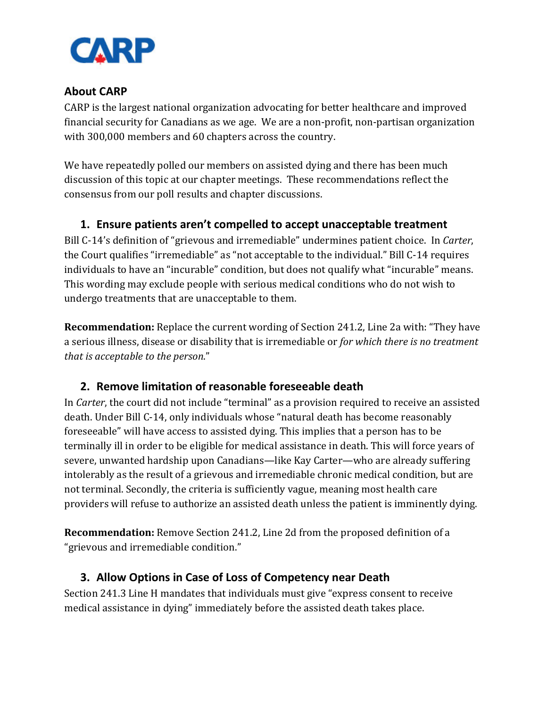

### **About CARP**

CARP is the largest national organization advocating for better healthcare and improved financial security for Canadians as we age. We are a non-profit, non-partisan organization with 300,000 members and 60 chapters across the country.

We have repeatedly polled our members on assisted dying and there has been much discussion of this topic at our chapter meetings. These recommendations reflect the consensus from our poll results and chapter discussions.

### **1. Ensure patients aren't compelled to accept unacceptable treatment**

Bill C-14's definition of "grievous and irremediable" undermines patient choice. In *Carter*, the Court qualifies "irremediable" as "not acceptable to the individual." Bill C-14 requires individuals to have an "incurable" condition, but does not qualify what "incurable" means. This wording may exclude people with serious medical conditions who do not wish to undergo treatments that are unacceptable to them.

**Recommendation:** Replace the current wording of Section 241.2, Line 2a with: "They have a serious illness, disease or disability that is irremediable or *for which there is no treatment that is acceptable to the person*."

### **2. Remove limitation of reasonable foreseeable death**

In *Carter*, the court did not include "terminal" as a provision required to receive an assisted death. Under Bill C-14, only individuals whose "natural death has become reasonably foreseeable" will have access to assisted dying. This implies that a person has to be terminally ill in order to be eligible for medical assistance in death. This will force years of severe, unwanted hardship upon Canadians—like Kay Carter—who are already suffering intolerably as the result of a grievous and irremediable chronic medical condition, but are not terminal. Secondly, the criteria is sufficiently vague, meaning most health care providers will refuse to authorize an assisted death unless the patient is imminently dying.

**Recommendation:** Remove Section 241.2, Line 2d from the proposed definition of a "grievous and irremediable condition."

### **3. Allow Options in Case of Loss of Competency near Death**

Section 241.3 Line H mandates that individuals must give "express consent to receive medical assistance in dying" immediately before the assisted death takes place.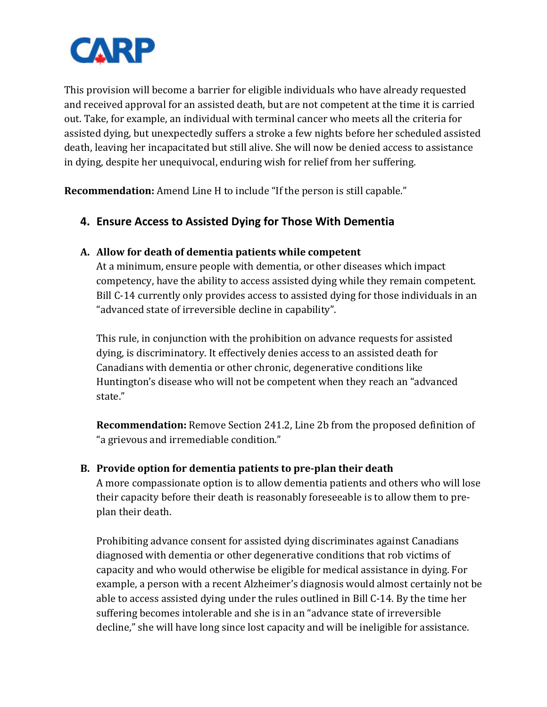

This provision will become a barrier for eligible individuals who have already requested and received approval for an assisted death, but are not competent at the time it is carried out. Take, for example, an individual with terminal cancer who meets all the criteria for assisted dying, but unexpectedly suffers a stroke a few nights before her scheduled assisted death, leaving her incapacitated but still alive. She will now be denied access to assistance in dying, despite her unequivocal, enduring wish for relief from her suffering.

**Recommendation:** Amend Line H to include "If the person is still capable."

# **4. Ensure Access to Assisted Dying for Those With Dementia**

#### **A. Allow for death of dementia patients while competent**

At a minimum, ensure people with dementia, or other diseases which impact competency, have the ability to access assisted dying while they remain competent. Bill C-14 currently only provides access to assisted dying for those individuals in an "advanced state of irreversible decline in capability".

This rule, in conjunction with the prohibition on advance requests for assisted dying, is discriminatory. It effectively denies access to an assisted death for Canadians with dementia or other chronic, degenerative conditions like Huntington's disease who will not be competent when they reach an "advanced state."

**Recommendation:** Remove Section 241.2, Line 2b from the proposed definition of "a grievous and irremediable condition."

### **B. Provide option for dementia patients to pre-plan their death**

A more compassionate option is to allow dementia patients and others who will lose their capacity before their death is reasonably foreseeable is to allow them to preplan their death.

Prohibiting advance consent for assisted dying discriminates against Canadians diagnosed with dementia or other degenerative conditions that rob victims of capacity and who would otherwise be eligible for medical assistance in dying. For example, a person with a recent Alzheimer's diagnosis would almost certainly not be able to access assisted dying under the rules outlined in Bill C-14. By the time her suffering becomes intolerable and she is in an "advance state of irreversible decline," she will have long since lost capacity and will be ineligible for assistance.